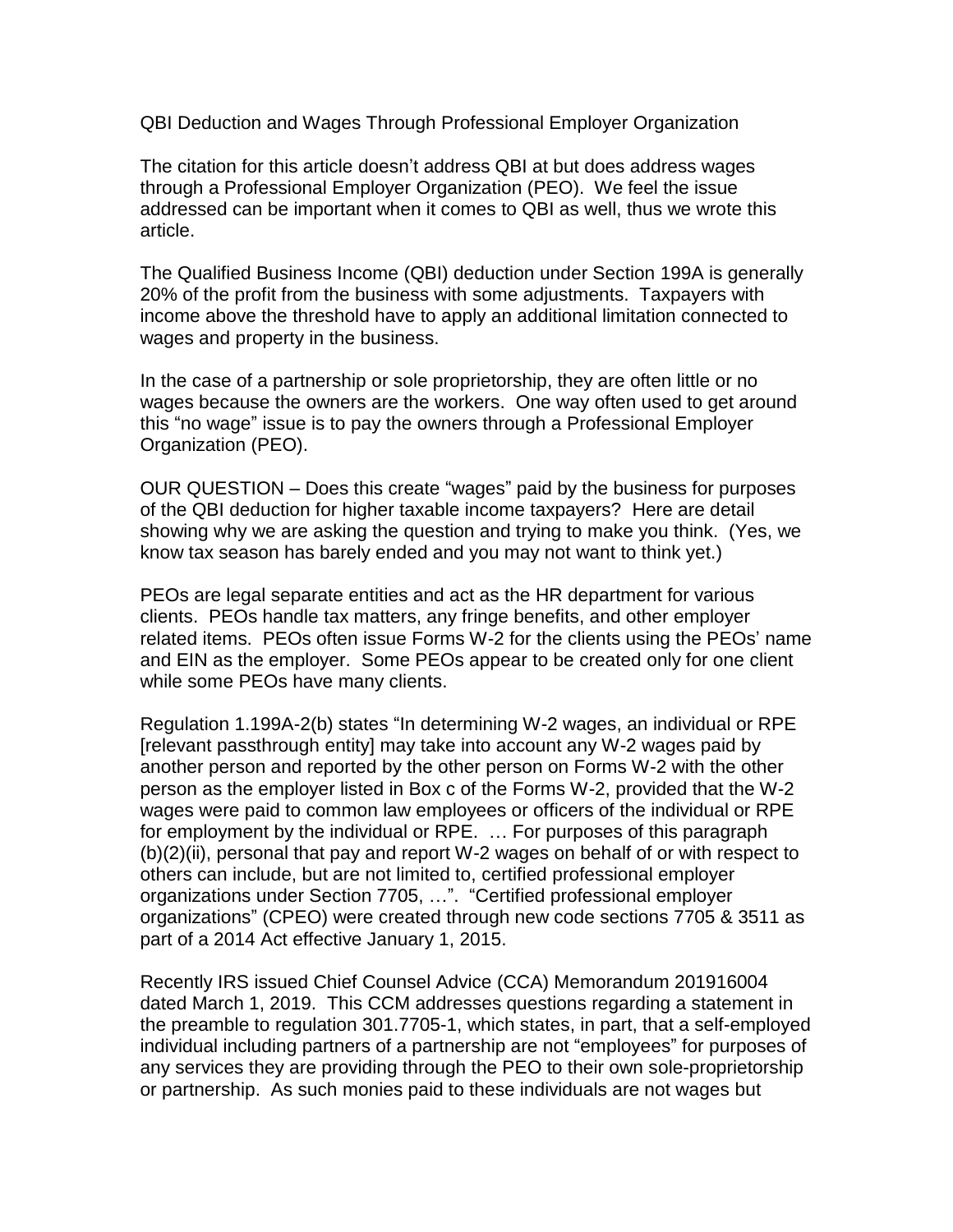QBI Deduction and Wages Through Professional Employer Organization

The citation for this article doesn't address QBI at but does address wages through a Professional Employer Organization (PEO). We feel the issue addressed can be important when it comes to QBI as well, thus we wrote this article.

The Qualified Business Income (QBI) deduction under Section 199A is generally 20% of the profit from the business with some adjustments. Taxpayers with income above the threshold have to apply an additional limitation connected to wages and property in the business.

In the case of a partnership or sole proprietorship, they are often little or no wages because the owners are the workers. One way often used to get around this "no wage" issue is to pay the owners through a Professional Employer Organization (PEO).

OUR QUESTION – Does this create "wages" paid by the business for purposes of the QBI deduction for higher taxable income taxpayers? Here are detail showing why we are asking the question and trying to make you think. (Yes, we know tax season has barely ended and you may not want to think yet.)

PEOs are legal separate entities and act as the HR department for various clients. PEOs handle tax matters, any fringe benefits, and other employer related items. PEOs often issue Forms W-2 for the clients using the PEOs' name and EIN as the employer. Some PEOs appear to be created only for one client while some PEOs have many clients.

Regulation 1.199A-2(b) states "In determining W-2 wages, an individual or RPE [relevant passthrough entity] may take into account any W-2 wages paid by another person and reported by the other person on Forms W-2 with the other person as the employer listed in Box c of the Forms W-2, provided that the W-2 wages were paid to common law employees or officers of the individual or RPE for employment by the individual or RPE. … For purposes of this paragraph (b)(2)(ii), personal that pay and report W-2 wages on behalf of or with respect to others can include, but are not limited to, certified professional employer organizations under Section 7705, …". "Certified professional employer organizations" (CPEO) were created through new code sections 7705 & 3511 as part of a 2014 Act effective January 1, 2015.

Recently IRS issued Chief Counsel Advice (CCA) Memorandum 201916004 dated March 1, 2019. This CCM addresses questions regarding a statement in the preamble to regulation 301.7705-1, which states, in part, that a self-employed individual including partners of a partnership are not "employees" for purposes of any services they are providing through the PEO to their own sole-proprietorship or partnership. As such monies paid to these individuals are not wages but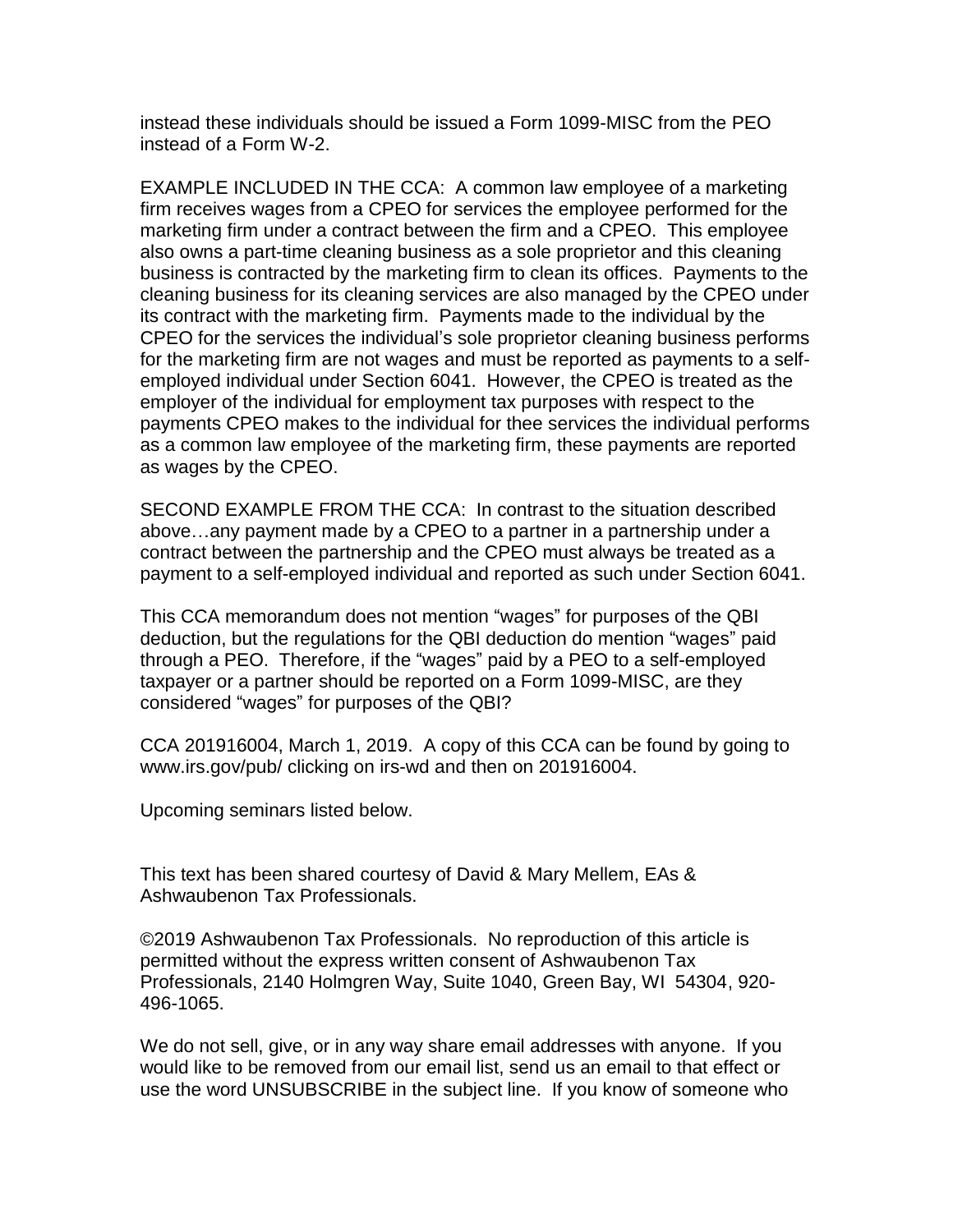instead these individuals should be issued a Form 1099-MISC from the PEO instead of a Form W-2.

EXAMPLE INCLUDED IN THE CCA: A common law employee of a marketing firm receives wages from a CPEO for services the employee performed for the marketing firm under a contract between the firm and a CPEO. This employee also owns a part-time cleaning business as a sole proprietor and this cleaning business is contracted by the marketing firm to clean its offices. Payments to the cleaning business for its cleaning services are also managed by the CPEO under its contract with the marketing firm. Payments made to the individual by the CPEO for the services the individual's sole proprietor cleaning business performs for the marketing firm are not wages and must be reported as payments to a selfemployed individual under Section 6041. However, the CPEO is treated as the employer of the individual for employment tax purposes with respect to the payments CPEO makes to the individual for thee services the individual performs as a common law employee of the marketing firm, these payments are reported as wages by the CPEO.

SECOND EXAMPLE FROM THE CCA: In contrast to the situation described above…any payment made by a CPEO to a partner in a partnership under a contract between the partnership and the CPEO must always be treated as a payment to a self-employed individual and reported as such under Section 6041.

This CCA memorandum does not mention "wages" for purposes of the QBI deduction, but the regulations for the QBI deduction do mention "wages" paid through a PEO. Therefore, if the "wages" paid by a PEO to a self-employed taxpayer or a partner should be reported on a Form 1099-MISC, are they considered "wages" for purposes of the QBI?

CCA 201916004, March 1, 2019. A copy of this CCA can be found by going to www.irs.gov/pub/ clicking on irs-wd and then on 201916004.

Upcoming seminars listed below.

This text has been shared courtesy of David & Mary Mellem, EAs & Ashwaubenon Tax Professionals.

©2019 Ashwaubenon Tax Professionals. No reproduction of this article is permitted without the express written consent of Ashwaubenon Tax Professionals, 2140 Holmgren Way, Suite 1040, Green Bay, WI 54304, 920- 496-1065.

We do not sell, give, or in any way share email addresses with anyone. If you would like to be removed from our email list, send us an email to that effect or use the word UNSUBSCRIBE in the subject line. If you know of someone who